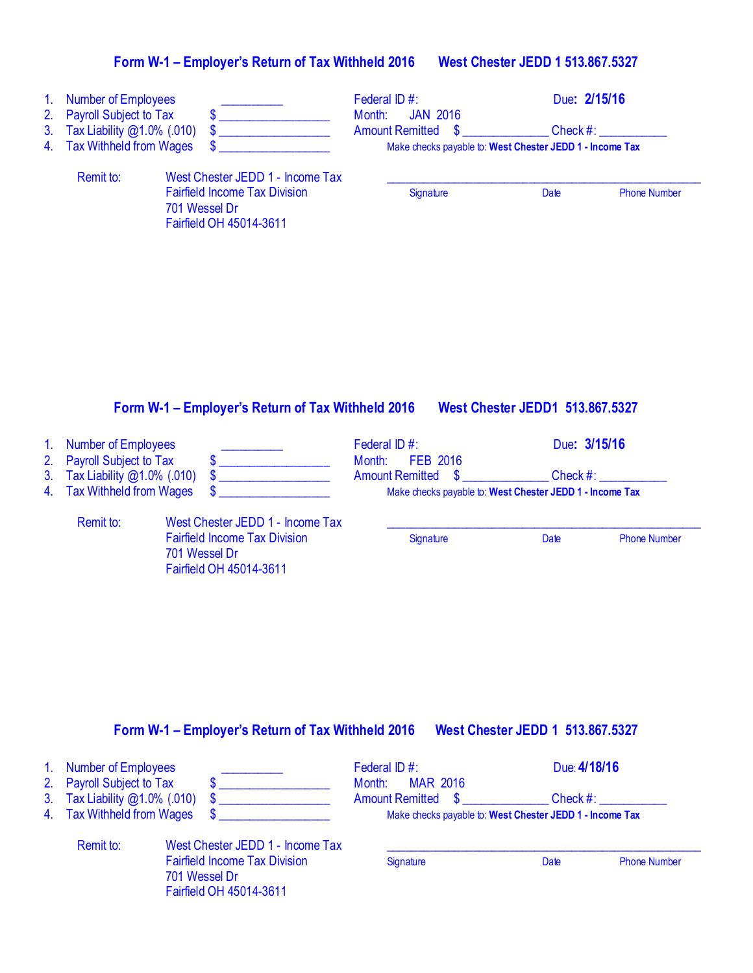| 1. Number of Employees                                     |                                                                                  | Federal ID #:                                            |          | Due: 2/15/16        |
|------------------------------------------------------------|----------------------------------------------------------------------------------|----------------------------------------------------------|----------|---------------------|
| 2. Payroll Subject to Tax<br>3. Tax Liability @1.0% (.010) |                                                                                  | <b>JAN 2016</b><br>Month:<br><b>Amount Remitted \$</b>   | Check #: |                     |
| 4. Tax Withheld from Wages                                 |                                                                                  | Make checks payable to: West Chester JEDD 1 - Income Tax |          |                     |
| Remit to:                                                  | West Chester JEDD 1 - Income Tax                                                 |                                                          |          |                     |
|                                                            | <b>Fairfield Income Tax Division</b><br>701 Wessel Dr<br>Fairfield OH 45014-3611 | Signature                                                | Date     | <b>Phone Number</b> |

## **Form W-1 – Employer's Return of Tax Withheld 2016 West Chester JEDD1 513.867.5327**

701 Wessel Dr

Fairfield OH 45014-3611

# 1. Number of Employees \_\_\_\_\_\_\_\_\_\_\_\_\_\_ Federal ID #: Due**: 3/15/16**<br>2. Payroll Subject to Tax  $\frac{1}{3}$  **6** Month: FEB 2016

| 2. Payroll Subject to Tax        |                                      | Month: FEB 2016                                          |             |                     |
|----------------------------------|--------------------------------------|----------------------------------------------------------|-------------|---------------------|
| 3. Tax Liability @1.0% (.010) \$ |                                      | <b>Amount Remitted \$</b>                                | Check $#$ : |                     |
| 4. Tax Withheld from Wages       |                                      | Make checks payable to: West Chester JEDD 1 - Income Tax |             |                     |
| Remit to:                        | West Chester JEDD 1 - Income Tax     |                                                          |             |                     |
|                                  | <b>Fairfield Income Tax Division</b> | Signature                                                | Date        | <b>Phone Number</b> |

#### **Form W-1 – Employer's Return of Tax Withheld 2016 West Chester JEDD 1 513.867.5327**

| 1. Number of Employees        |                                                                                  | Federal ID #:<br>Month: MAR 2016                         | Due: 4/18/16 |                     |
|-------------------------------|----------------------------------------------------------------------------------|----------------------------------------------------------|--------------|---------------------|
| 2. Payroll Subject to Tax     |                                                                                  |                                                          |              |                     |
| 3. Tax Liability @1.0% (.010) |                                                                                  | <b>Amount Remitted \$</b>                                | Check #:     |                     |
| 4. Tax Withheld from Wages    |                                                                                  | Make checks payable to: West Chester JEDD 1 - Income Tax |              |                     |
| Remit to:                     | West Chester JEDD 1 - Income Tax                                                 |                                                          |              |                     |
|                               | <b>Fairfield Income Tax Division</b><br>701 Wessel Dr<br>Fairfield OH 45014-3611 | Signature                                                | Date         | <b>Phone Number</b> |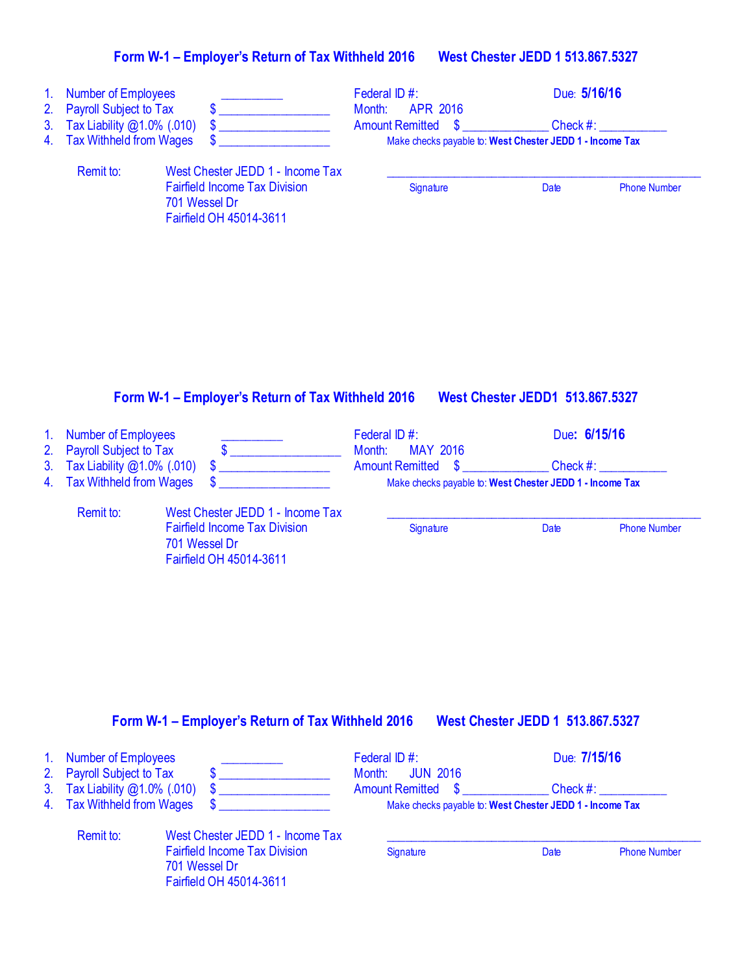| $\mathbf{1}$ .<br>2.<br>3.<br>4. | <b>Number of Employees</b><br><b>Payroll Subject to Tax</b><br>Tax Liability @1.0% (.010)<br><b>Tax Withheld from Wages</b> | \$<br>\$<br>\$                                                                                                       | Federal ID #:<br>Month:<br><b>APR 2016</b><br><b>Amount Remitted</b><br>$\mathbf{\$}$ | Due: 5/16/16<br>Check #:<br>Make checks payable to: West Chester JEDD 1 - Income Tax |  |
|----------------------------------|-----------------------------------------------------------------------------------------------------------------------------|----------------------------------------------------------------------------------------------------------------------|---------------------------------------------------------------------------------------|--------------------------------------------------------------------------------------|--|
|                                  | Remit to:                                                                                                                   | West Chester JEDD 1 - Income Tax<br><b>Fairfield Income Tax Division</b><br>701 Wessel Dr<br>Fairfield OH 45014-3611 | Signature                                                                             | Date<br><b>Phone Number</b>                                                          |  |
|                                  |                                                                                                                             | Form W-1 - Employer's Return of Tax Withheld 2016                                                                    |                                                                                       | <b>West Chester JEDD1 513.867.5327</b>                                               |  |
| $\mathbf{1}$ .<br>2.             | <b>Number of Employees</b><br><b>Payroll Subject to Tax</b>                                                                 | $\sim$                                                                                                               | Federal ID#:<br>Month:<br><b>MAY 2016</b>                                             | Due: 6/15/16                                                                         |  |
| 3.                               | Tax Liability @1.0% (.010)                                                                                                  | \$                                                                                                                   | <b>Amount Remitted</b><br>S                                                           | Check $#$ :<br>Make checks payable to: West Chester JEDD 1 - Income Tax              |  |
| 4.                               | <b>Tax Withheld from Wages</b>                                                                                              | \$                                                                                                                   |                                                                                       |                                                                                      |  |

## **Form W-1 – Employer's Return of Tax Withheld 2016 West Chester JEDD 1 513.867.5327**

| 1. Number of Employees           |                                      | Federal ID $#$ :                                         | Due: 7/15/16 |                     |
|----------------------------------|--------------------------------------|----------------------------------------------------------|--------------|---------------------|
| 2. Payroll Subject to Tax        |                                      | Month: JUN 2016                                          |              |                     |
| 3. Tax Liability $@1.0\%$ (.010) |                                      | <b>Amount Remitted \$</b>                                | Check #:     |                     |
| 4. Tax Withheld from Wages       |                                      | Make checks payable to: West Chester JEDD 1 - Income Tax |              |                     |
| Remit to:                        | West Chester JEDD 1 - Income Tax     |                                                          |              |                     |
|                                  | <b>Fairfield Income Tax Division</b> | Signature                                                | Date         | <b>Phone Number</b> |
|                                  | 701 Wessel Dr                        |                                                          |              |                     |

Fairfield OH 45014-3611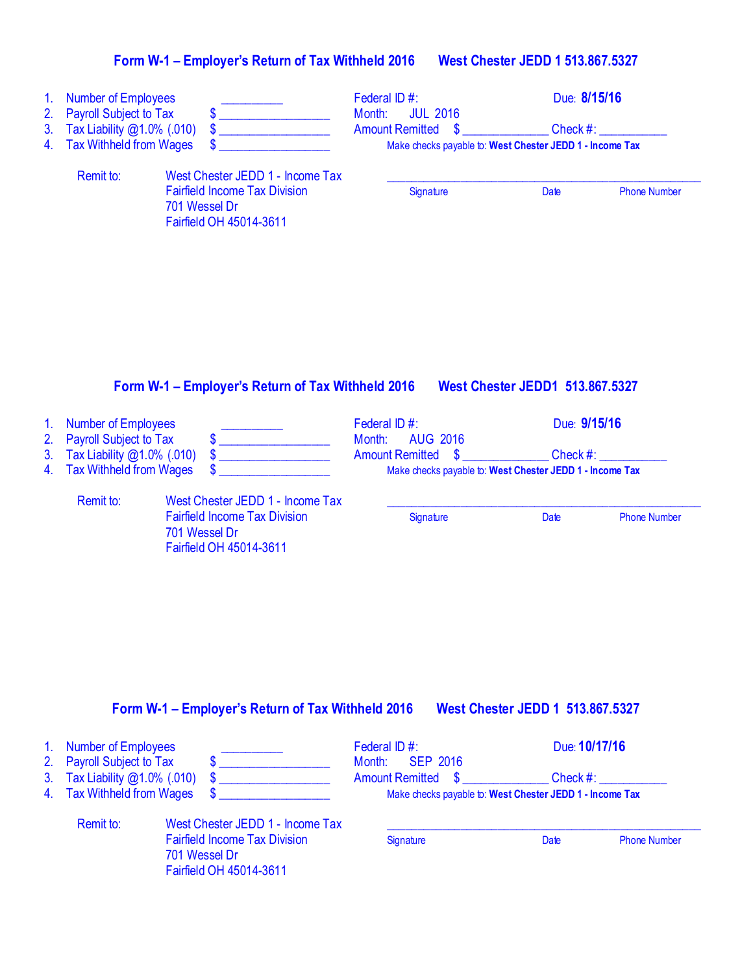| 1 <sub>1</sub><br>2.<br>3.<br>4. | <b>Number of Employees</b><br><b>Payroll Subject to Tax</b><br>Tax Liability @1.0% (.010)<br><b>Tax Withheld from Wages</b> | \$<br>\$                                                                                                             | Federal ID#:<br>Month:<br><b>JUL 2016</b><br><b>Amount Remitted</b> | \$<br>Check #:<br>Make checks payable to: West Chester JEDD 1 - Income Tax            | Due: 8/15/16        |
|----------------------------------|-----------------------------------------------------------------------------------------------------------------------------|----------------------------------------------------------------------------------------------------------------------|---------------------------------------------------------------------|---------------------------------------------------------------------------------------|---------------------|
|                                  | Remit to:                                                                                                                   | West Chester JEDD 1 - Income Tax<br><b>Fairfield Income Tax Division</b><br>701 Wessel Dr<br>Fairfield OH 45014-3611 | Signature                                                           | <b>Date</b>                                                                           | <b>Phone Number</b> |
|                                  |                                                                                                                             |                                                                                                                      |                                                                     |                                                                                       |                     |
|                                  |                                                                                                                             | Form W-1 – Employer's Return of Tax Withheld 2016                                                                    |                                                                     | <b>West Chester JEDD1 513.867.5327</b>                                                |                     |
| 1 <sub>1</sub><br>2.             | <b>Number of Employees</b><br><b>Payroll Subject to Tax</b>                                                                 | \$                                                                                                                   | Federal ID #:<br>Month:<br><b>AUG 2016</b>                          |                                                                                       | Due: 9/15/16        |
| 3.<br>4.                         | Tax Liability @1.0% (.010)<br><b>Tax Withheld from Wages</b>                                                                |                                                                                                                      | <b>Amount Remitted</b>                                              | Check #:<br>$\mathbf{\$}$<br>Make checks payable to: West Chester JEDD 1 - Income Tax |                     |
|                                  | Remit to:                                                                                                                   | West Chester JEDD 1 - Income Tax<br><b>Fairfield Income Tax Division</b>                                             | <b>Signature</b>                                                    | Date                                                                                  | <b>Phone Number</b> |

#### **Form W-1 – Employer's Return of Tax Withheld 2016 West Chester JEDD 1 513.867.5327**

701 Wessel Dr

Fairfield OH 45014-3611

| 1. Number of Employees<br>2. Payroll Subject to Tax         |                                                                                  | Federal ID $#$ :<br>Month: <b>SEP 2016</b>                                                 | Due: 10/17/16 |                     |
|-------------------------------------------------------------|----------------------------------------------------------------------------------|--------------------------------------------------------------------------------------------|---------------|---------------------|
|                                                             |                                                                                  |                                                                                            |               |                     |
| 3. Tax Liability @1.0% (.010)<br>4. Tax Withheld from Wages |                                                                                  | Amount Remitted \$<br>Check #:<br>Make checks payable to: West Chester JEDD 1 - Income Tax |               |                     |
| Remit to:                                                   | West Chester JEDD 1 - Income Tax                                                 |                                                                                            |               |                     |
|                                                             | <b>Fairfield Income Tax Division</b><br>701 Wessel Dr<br>Fairfield OH 45014-3611 | Signature                                                                                  | Date          | <b>Phone Number</b> |